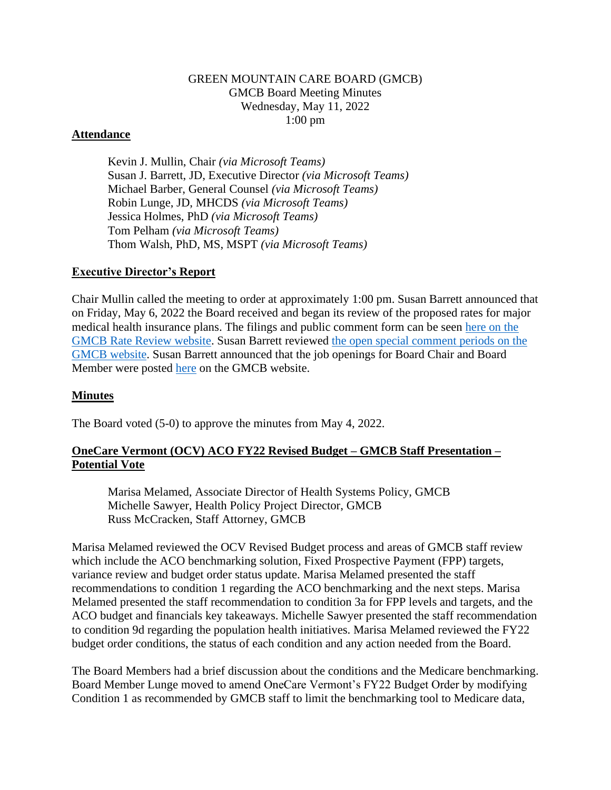## GREEN MOUNTAIN CARE BOARD (GMCB) GMCB Board Meeting Minutes Wednesday, May 11, 2022 1:00 pm

### **Attendance**

Kevin J. Mullin, Chair *(via Microsoft Teams)* Susan J. Barrett, JD, Executive Director *(via Microsoft Teams)* Michael Barber, General Counsel *(via Microsoft Teams)* Robin Lunge, JD, MHCDS *(via Microsoft Teams)* Jessica Holmes, PhD *(via Microsoft Teams)* Tom Pelham *(via Microsoft Teams)* Thom Walsh, PhD, MS, MSPT *(via Microsoft Teams)*

### **Executive Director's Report**

Chair Mullin called the meeting to order at approximately 1:00 pm. Susan Barrett announced that on Friday, May 6, 2022 the Board received and began its review of the proposed rates for major medical health insurance plans. The filings and public comment form can be seen [here on the](https://ratereview.vermont.gov/)  [GMCB Rate Review website.](https://ratereview.vermont.gov/) Susan Barrett reviewed [the open special comment periods on the](https://gmcboard.vermont.gov/board/comment) [GMCB website.](https://gmcboard.vermont.gov/board/comment) Susan Barrett announced that the job openings for Board Chair and Board Member were posted [here](https://gmcboard.vermont.gov/publications/jobs) on the GMCB website.

## **Minutes**

The Board voted (5-0) to approve the minutes from May 4, 2022.

## **OneCare Vermont (OCV) ACO FY22 Revised Budget – GMCB Staff Presentation – Potential Vote**

Marisa Melamed, Associate Director of Health Systems Policy, GMCB Michelle Sawyer, Health Policy Project Director, GMCB Russ McCracken, Staff Attorney, GMCB

Marisa Melamed reviewed the OCV Revised Budget process and areas of GMCB staff review which include the ACO benchmarking solution, Fixed Prospective Payment (FPP) targets, variance review and budget order status update. Marisa Melamed presented the staff recommendations to condition 1 regarding the ACO benchmarking and the next steps. Marisa Melamed presented the staff recommendation to condition 3a for FPP levels and targets, and the ACO budget and financials key takeaways. Michelle Sawyer presented the staff recommendation to condition 9d regarding the population health initiatives. Marisa Melamed reviewed the FY22 budget order conditions, the status of each condition and any action needed from the Board.

The Board Members had a brief discussion about the conditions and the Medicare benchmarking. Board Member Lunge moved to amend OneCare Vermont's FY22 Budget Order by modifying Condition 1 as recommended by GMCB staff to limit the benchmarking tool to Medicare data,